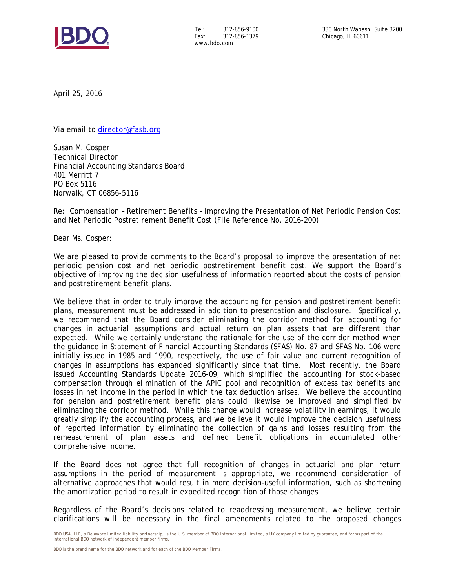

Tel: 312-856-9100 Fax: 312-856-1379 www.bdo.com

April 25, 2016

Via email to director@fasb.org

Susan M. Cosper Technical Director Financial Accounting Standards Board 401 Merritt 7 PO Box 5116 Norwalk, CT 06856-5116

Re: Compensation – Retirement Benefits – Improving the Presentation of Net Periodic Pension Cost and Net Periodic Postretirement Benefit Cost (File Reference No. 2016-200)

Dear Ms. Cosper:

We are pleased to provide comments to the Board's proposal to improve the presentation of net periodic pension cost and net periodic postretirement benefit cost. We support the Board's objective of improving the decision usefulness of information reported about the costs of pension and postretirement benefit plans.

We believe that in order to truly improve the accounting for pension and postretirement benefit plans, measurement must be addressed in addition to presentation and disclosure. Specifically, we recommend that the Board consider eliminating the corridor method for accounting for changes in actuarial assumptions and actual return on plan assets that are different than expected. While we certainly understand the rationale for the use of the corridor method when the guidance in Statement of Financial Accounting Standards (SFAS) No. 87 and SFAS No. 106 were initially issued in 1985 and 1990, respectively, the use of fair value and current recognition of changes in assumptions has expanded significantly since that time. Most recently, the Board issued Accounting Standards Update 2016-09, which simplified the accounting for stock-based compensation through elimination of the APIC pool and recognition of excess tax benefits and losses in net income in the period in which the tax deduction arises. We believe the accounting for pension and postretirement benefit plans could likewise be improved and simplified by eliminating the corridor method. While this change would increase volatility in earnings, it would greatly simplify the accounting process, and we believe it would improve the decision usefulness of reported information by eliminating the collection of gains and losses resulting from the remeasurement of plan assets and defined benefit obligations in accumulated other comprehensive income.

If the Board does not agree that full recognition of changes in actuarial and plan return assumptions in the period of measurement is appropriate, we recommend consideration of alternative approaches that would result in more decision-useful information, such as shortening the amortization period to result in expedited recognition of those changes.

Regardless of the Board's decisions related to readdressing measurement, we believe certain clarifications will be necessary in the final amendments related to the proposed changes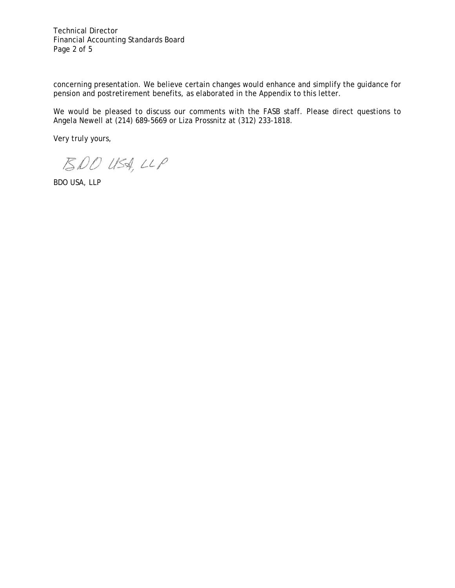Technical Director Financial Accounting Standards Board Page 2 of 5

concerning presentation. We believe certain changes would enhance and simplify the guidance for pension and postretirement benefits, as elaborated in the Appendix to this letter.

We would be pleased to discuss our comments with the FASB staff. Please direct questions to Angela Newell at (214) 689-5669 or Liza Prossnitz at (312) 233-1818.

Very truly yours,

 $200$  USA, LLP

BDO USA, LLP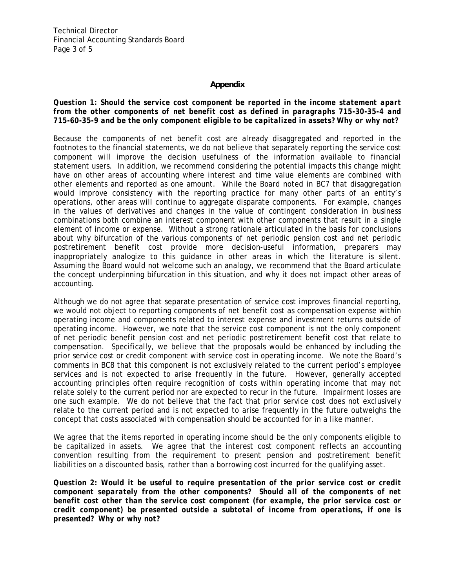Technical Director Financial Accounting Standards Board Page 3 of 5

### **Appendix**

### *Question 1: Should the service cost component be reported in the income statement apart from the other components of net benefit cost as defined in paragraphs 715-30-35-4 and 715-60-35-9 and be the only component eligible to be capitalized in assets? Why or why not?*

Because the components of net benefit cost are already disaggregated and reported in the footnotes to the financial statements, we do not believe that separately reporting the service cost component will improve the decision usefulness of the information available to financial statement users. In addition, we recommend considering the potential impacts this change might have on other areas of accounting where interest and time value elements are combined with other elements and reported as one amount. While the Board noted in BC7 that disaggregation would improve consistency with the reporting practice for many other parts of an entity's operations, other areas will continue to aggregate disparate components. For example, changes in the values of derivatives and changes in the value of contingent consideration in business combinations both combine an interest component with other components that result in a single element of income or expense. Without a strong rationale articulated in the basis for conclusions about why bifurcation of the various components of net periodic pension cost and net periodic postretirement benefit cost provide more decision-useful information, preparers may inappropriately analogize to this guidance in other areas in which the literature is silent. Assuming the Board would not welcome such an analogy, we recommend that the Board articulate the concept underpinning bifurcation in this situation, and why it does not impact other areas of accounting.

Although we do not agree that separate presentation of service cost improves financial reporting, we would not object to reporting components of net benefit cost as compensation expense within operating income and components related to interest expense and investment returns outside of operating income. However, we note that the service cost component is not the only component of net periodic benefit pension cost and net periodic postretirement benefit cost that relate to compensation. Specifically, we believe that the proposals would be enhanced by including the prior service cost or credit component with service cost in operating income. We note the Board's comments in BC8 that this component is not exclusively related to the current period's employee services and is not expected to arise frequently in the future. However, generally accepted accounting principles often require recognition of costs within operating income that may not relate solely to the current period nor are expected to recur in the future. Impairment losses are one such example. We do not believe that the fact that prior service cost does not exclusively relate to the current period and is not expected to arise frequently in the future outweighs the concept that costs associated with compensation should be accounted for in a like manner.

We agree that the items reported in operating income should be the only components eligible to be capitalized in assets. We agree that the interest cost component reflects an accounting convention resulting from the requirement to present pension and postretirement benefit liabilities on a discounted basis, rather than a borrowing cost incurred for the qualifying asset.

*Question 2: Would it be useful to require presentation of the prior service cost or credit component separately from the other components? Should all of the components of net benefit cost other than the service cost component (for example, the prior service cost or credit component) be presented outside a subtotal of income from operations, if one is presented? Why or why not?*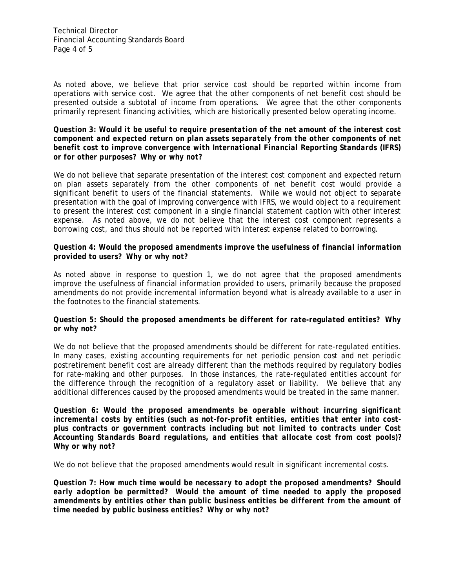Technical Director Financial Accounting Standards Board Page 4 of 5

As noted above, we believe that prior service cost should be reported within income from operations with service cost. We agree that the other components of net benefit cost should be presented outside a subtotal of income from operations. We agree that the other components primarily represent financing activities, which are historically presented below operating income.

#### *Question 3: Would it be useful to require presentation of the net amount of the interest cost component and expected return on plan assets separately from the other components of net benefit cost to improve convergence with International Financial Reporting Standards (IFRS) or for other purposes? Why or why not?*

We do not believe that separate presentation of the interest cost component and expected return on plan assets separately from the other components of net benefit cost would provide a significant benefit to users of the financial statements. While we would not object to separate presentation with the goal of improving convergence with IFRS, we would object to a requirement to present the interest cost component in a single financial statement caption with other interest expense. As noted above, we do not believe that the interest cost component represents a borrowing cost, and thus should not be reported with interest expense related to borrowing.

# *Question 4: Would the proposed amendments improve the usefulness of financial information provided to users? Why or why not?*

As noted above in response to question 1, we do not agree that the proposed amendments improve the usefulness of financial information provided to users, primarily because the proposed amendments do not provide incremental information beyond what is already available to a user in the footnotes to the financial statements.

# *Question 5: Should the proposed amendments be different for rate-regulated entities? Why or why not?*

We do not believe that the proposed amendments should be different for rate-regulated entities. In many cases, existing accounting requirements for net periodic pension cost and net periodic postretirement benefit cost are already different than the methods required by regulatory bodies for rate-making and other purposes. In those instances, the rate-regulated entities account for the difference through the recognition of a regulatory asset or liability. We believe that any additional differences caused by the proposed amendments would be treated in the same manner.

*Question 6: Would the proposed amendments be operable without incurring significant incremental costs by entities (such as not-for-profit entities, entities that enter into costplus contracts or government contracts including but not limited to contracts under Cost Accounting Standards Board regulations, and entities that allocate cost from cost pools)? Why or why not?* 

We do not believe that the proposed amendments would result in significant incremental costs.

*Question 7: How much time would be necessary to adopt the proposed amendments? Should early adoption be permitted? Would the amount of time needed to apply the proposed amendments by entities other than public business entities be different from the amount of time needed by public business entities? Why or why not?*